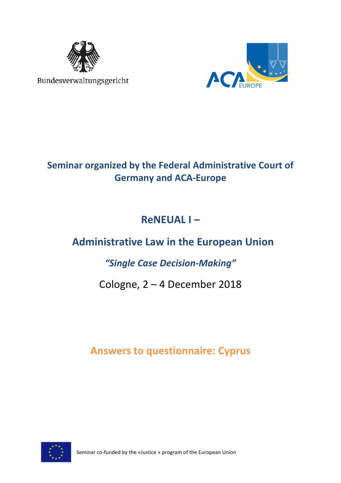

Bundesverwaltungsgericht



## **Seminar organized by the Federal Administrative Court of Germany and ACA-Europe**

# **ReNEUAL I –**

# **Administrative Law in the European Union**

## *"Single Case Decision-Making"*

## Cologne, 2 – 4 December 2018

## **Answers to questionnaire: Cyprus**



Seminar co-funded by the «Justice » program of the European Union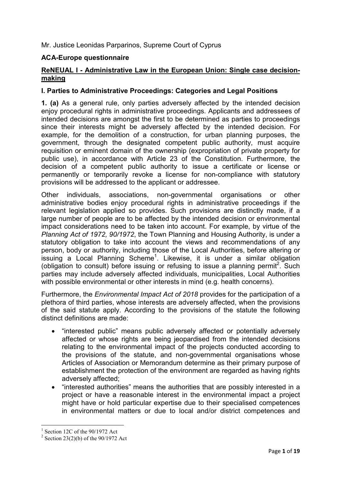Mr. Justice Leonidas Parparinos, Supreme Court of Cyprus

### **ACA-Europe questionnaire**

### **ReNEUAL I - Administrative Law in the European Union: Single case decisionmaking**

### **I. Parties to Administrative Proceedings: Categories and Legal Positions**

**1. (a)** As a general rule, only parties adversely affected by the intended decision enjoy procedural rights in administrative proceedings. Applicants and addressees of intended decisions are amongst the first to be determined as parties to proceedings since their interests might be adversely affected by the intended decision. For example, for the demolition of a construction, for urban planning purposes, the government, through the designated competent public authority, must acquire requisition or eminent domain of the ownership (expropriation of private property for public use), in accordance with Article 23 of the Constitution. Furthermore, the decision of a competent public authority to issue a certificate or license or permanently or temporarily revoke a license for non-compliance with statutory provisions will be addressed to the applicant or addressee.

Other individuals, associations, non-governmental organisations or other administrative bodies enjoy procedural rights in administrative proceedings if the relevant legislation applied so provides. Such provisions are distinctly made, if a large number of people are to be affected by the intended decision or environmental impact considerations need to be taken into account. For example, by virtue of the *Planning Act of 1972, 90/1972*, the Town Planning and Housing Authority, is under a statutory obligation to take into account the views and recommendations of any person, body or authority, including those of the Local Authorities, before altering or issuing a Local Planning Scheme<sup>1</sup> . Likewise, it is under a similar obligation (obligation to consult) before issuing or refusing to issue a planning permit<sup>2</sup>. Such parties may include adversely affected individuals, municipalities, Local Authorities with possible environmental or other interests in mind (e.g. health concerns).

Furthermore, the *Environmental Impact Act οf 2018* provides for the participation of a plethora of third parties, whose interests are adversely affected, when the provisions of the said statute apply. According to the provisions of the statute the following distinct definitions are made:

- "interested public" means public adversely affected or potentially adversely affected or whose rights are being jeopardised from the intended decisions relating to the environmental impact of the projects conducted according to the provisions of the statute, and non-governmental organisations whose Articles of Association or Memorandum determine as their primary purpose of establishment the protection of the environment are regarded as having rights adversely affected;
- "interested authorities" means the authorities that are possibly interested in a project or have a reasonable interest in the environmental impact a project might have or hold particular expertise due to their specialised competences in environmental matters or due to local and/or district competences and

 $<sup>1</sup>$  Section 12C of the 90/1972 Act</sup>

<sup>&</sup>lt;sup>2</sup> Section 23(2)(b) of the  $90/1972$  Act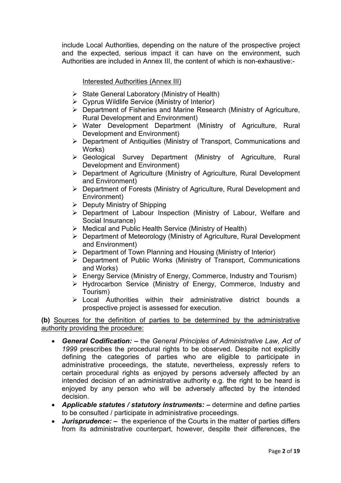include Local Authorities, depending on the nature of the prospective project and the expected, serious impact it can have on the environment, such Authorities are included in Annex III, the content of which is non-exhaustive:-

### Interested Authorities (Annex III)

- $\triangleright$  State General Laboratory (Ministry of Health)
- $\triangleright$  Cyprus Wildlife Service (Ministry of Interior)
- Department of Fisheries and Marine Research (Ministry of Agriculture, Rural Development and Environment)
- Water Development Department (Ministry of Agriculture, Rural Development and Environment)
- $\triangleright$  Department of Antiquities (Ministry of Transport, Communications and Works)
- Geological Survey Department (Ministry of Agriculture, Rural Development and Environment)
- Department of Agriculture (Ministry of Agriculture, Rural Development and Environment)
- Department of Forests (Ministry of Agriculture, Rural Development and Environment)
- $\triangleright$  Deputy Ministry of Shipping
- Department of Labour Inspection (Ministry of Labour, Welfare and Social Insurance)
- $\triangleright$  Medical and Public Health Service (Ministry of Health)
- Department of Meteorology (Ministry of Agriculture, Rural Development and Environment)
- $\triangleright$  Department of Town Planning and Housing (Ministry of Interior)
- Department of Public Works (Ministry of Transport, Communications and Works)
- Energy Service (Ministry of Energy, Commerce, Industry and Tourism)
- > Hydrocarbon Service (Ministry of Energy, Commerce, Industry and Tourism)
- Local Authorities within their administrative district bounds a prospective project is assessed for execution.

### **(b)** Sources for the definition of parties to be determined by the administrative authority providing the procedure:

- *General Codification: –* the *General Principles of Administrative Law, Act of 1999* prescribes the procedural rights to be observed*.* Despite not explicitly defining the categories of parties who are eligible to participate in administrative proceedings, the statute, nevertheless, expressly refers to certain procedural rights as enjoyed by persons adversely affected by an intended decision of an administrative authority e.g. the right to be heard is enjoyed by any person who will be adversely affected by the intended decision.
- *Applicable statutes / statutory instruments: –* determine and define parties to be consulted / participate in administrative proceedings.
- *Jurisprudence: –* the experience of the Courts in the matter of parties differs from its administrative counterpart, however, despite their differences, the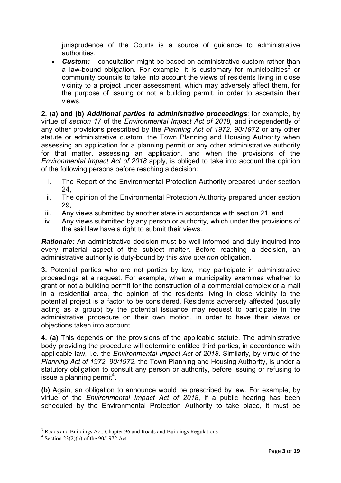jurisprudence of the Courts is a source of guidance to administrative authorities.

• *Custom: –* consultation might be based on administrative custom rather than a law-bound obligation. For example, it is customary for municipalities<sup>3</sup> or community councils to take into account the views of residents living in close vicinity to a project under assessment, which may adversely affect them, for the purpose of issuing or not a building permit, in order to ascertain their views.

**2. (a) and (b)** *Additional parties to administrative proceedings*: for example, by virtue of *section 17* of the *Environmental Impact Act οf 2018,* and independently of any other provisions prescribed by the *Planning Act of 1972, 90/1972* or any other statute or administrative custom, the Town Planning and Housing Authority when assessing an application for a planning permit or any other administrative authority for that matter, assessing an application, and when the provisions of the *Environmental Impact Act οf 2018* apply, is obliged to take into account the opinion of the following persons before reaching a decision:

- i. The Report of the Environmental Protection Authority prepared under section 24,
- ii. The opinion of the Environmental Protection Authority prepared under section 29,
- iii. Any views submitted by another state in accordance with section 21, and
- iv. Any views submitted by any person or authority, which under the provisions of the said law have a right to submit their views.

**Rationale:** An administrative decision must be well-informed and duly inquired into every material aspect of the subject matter. Before reaching a decision, an administrative authority is duty-bound by this *sine qua non* obligation.

**3.** Potential parties who are not parties by law, may participate in administrative proceedings at a request. For example, when a municipality examines whether to grant or not a building permit for the construction of a commercial complex or a mall in a residential area, the opinion of the residents living in close vicinity to the potential project is a factor to be considered. Residents adversely affected (usually acting as a group) by the potential issuance may request to participate in the administrative procedure on their own motion, in order to have their views or objections taken into account.

**4. (a)** This depends on the provisions of the applicable statute. The administrative body providing the procedure will determine entitled third parties, in accordance with applicable law, i.e. the *Environmental Impact Act of 2018*. Similarly, by virtue of the *Planning Act of 1972, 90/1972*, the Town Planning and Housing Authority, is under a statutory obligation to consult any person or authority, before issuing or refusing to issue a planning permit<sup>4</sup>.

**(b)** Again, an obligation to announce would be prescribed by law. For example, by virtue of the *Environmental Impact Act οf 2018*, if a public hearing has been scheduled by the Environmental Protection Authority to take place, it must be

<sup>&</sup>lt;sup>3</sup> Roads and Buildings Act, Chapter 96 and Roads and Buildings Regulations

<sup>&</sup>lt;sup>4</sup> Section 23(2)(b) of the  $90/1972$  Act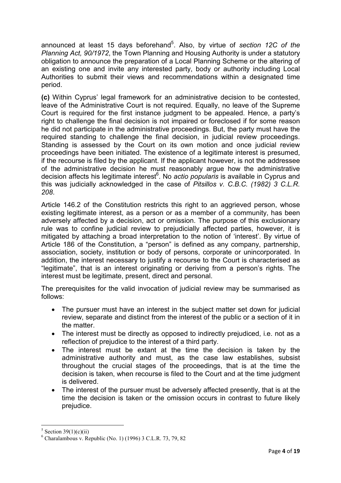announced at least 15 days beforehand<sup>5</sup>. Also, by virtue of *section 12C of the Planning Act, 90/1972*, the Town Planning and Housing Authority is under a statutory obligation to announce the preparation of a Local Planning Scheme or the altering of an existing one and invite any interested party, body or authority including Local Authorities to submit their views and recommendations within a designated time period.

**(c)** Within Cyprus' legal framework for an administrative decision to be contested, leave of the Administrative Court is not required. Equally, no leave of the Supreme Court is required for the first instance judgment to be appealed. Hence, a party's right to challenge the final decision is not impaired or foreclosed if for some reason he did not participate in the administrative proceedings. But, the party must have the required standing to challenge the final decision, in judicial review proceedings. Standing is assessed by the Court on its own motion and once judicial review proceedings have been initiated. The existence of a legitimate interest is presumed, if the recourse is filed by the applicant. If the applicant however, is not the addressee of the administrative decision he must reasonably argue how the administrative decision affects his legitimate interest<sup>6</sup>. No *actio popularis* is available in Cyprus and this was judicially acknowledged in the case of *Pitsillos v. C.B.C. (1982) 3 C.L.R. 208*.

Article 146.2 of the Constitution restricts this right to an aggrieved person, whose existing legitimate interest, as a person or as a member of a community, has been adversely affected by a decision, act or omission. The purpose of this exclusionary rule was to confine judicial review to prejudicially affected parties, however, it is mitigated by attaching a broad interpretation to the notion of 'interest'. By virtue of Article 186 of the Constitution, a "person" is defined as any company, partnership, association, society, institution or body of persons, corporate or unincorporated. In addition, the interest necessary to justify a recourse to the Court is characterised as "legitimate", that is an interest originating or deriving from a person's rights. The interest must be legitimate, present, direct and personal.

The prerequisites for the valid invocation of judicial review may be summarised as follows:

- The pursuer must have an interest in the subject matter set down for judicial review, separate and distinct from the interest of the public or a section of it in the matter.
- The interest must be directly as opposed to indirectly prejudiced, i.e. not as a reflection of prejudice to the interest of a third party.
- The interest must be extant at the time the decision is taken by the administrative authority and must, as the case law establishes, subsist throughout the crucial stages of the proceedings, that is at the time the decision is taken, when recourse is filed to the Court and at the time judgment is delivered.
- The interest of the pursuer must be adversely affected presently, that is at the time the decision is taken or the omission occurs in contrast to future likely prejudice.

 $5$  Section 39(1)(c)(ii)

 $6$  Charalambous v. Republic (No. 1) (1996) 3 C.L.R. 73, 79, 82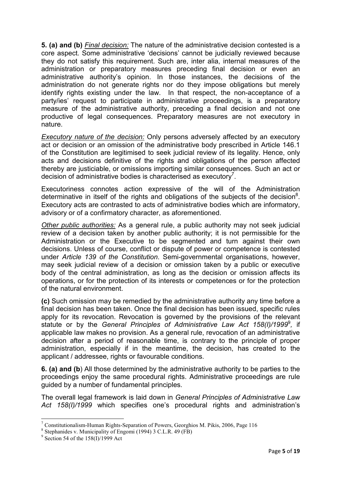**5. (a) and (b)** *Final decision:* The nature of the administrative decision contested is a core aspect. Some administrative 'decisions' cannot be judicially reviewed because they do not satisfy this requirement. Such are, inter alia, internal measures of the administration or preparatory measures preceding final decision or even an administrative authority's opinion. In those instances, the decisions of the administration do not generate rights nor do they impose obligations but merely identify rights existing under the law. In that respect, the non-acceptance of a party/ies' request to participate in administrative proceedings, is a preparatory measure of the administrative authority, preceding a final decision and not one productive of legal consequences. Preparatory measures are not executory in nature.

*Executory nature of the decision:* Only persons adversely affected by an executory act or decision or an omission of the administrative body prescribed in Article 146.1 of the Constitution are legitimised to seek judicial review of its legality. Hence, only acts and decisions definitive of the rights and obligations of the person affected thereby are justiciable, or omissions importing similar consequences. Such an act or decision of administrative bodies is characterised as executory<sup>7</sup>.

Executoriness connotes action expressive of the will of the Administration determinative in itself of the rights and obligations of the subjects of the decision<sup>8</sup>. Executory acts are contrasted to acts of administrative bodies which are informatory, advisory or of a confirmatory character, as aforementioned.

*Other public authorities:* As a general rule, a public authority may not seek judicial review of a decision taken by another public authority; it is not permissible for the Administration or the Executive to be segmented and turn against their own decisions. Unless of course, conflict or dispute of power or competence is contested under *Article 139 of the Constitution*. Semi-governmental organisations, however, may seek judicial review of a decision or omission taken by a public or executive body of the central administration, as long as the decision or omission affects its operations, or for the protection of its interests or competences or for the protection of the natural environment.

**(c)** Such omission may be remedied by the administrative authority any time before a final decision has been taken. Once the final decision has been issued, specific rules apply for its revocation. Revocation is governed by the provisions of the relevant statute or by the *General Principles of Administrative Law Act 158(I)/1999*<sup>9</sup>, if applicable law makes no provision. As a general rule, revocation of an administrative decision after a period of reasonable time, is contrary to the principle of proper administration, especially if in the meantime, the decision, has created to the applicant / addressee, rights or favourable conditions.

**6. (a) and (b**) All those determined by the administrative authority to be parties to the proceedings enjoy the same procedural rights. Administrative proceedings are rule guided by a number of fundamental principles.

The overall legal framework is laid down in *General Principles of Administrative Law Act 158(I)/1999* which specifies one's procedural rights and administration's

<sup>&</sup>lt;sup>7</sup> Constitutionalism-Human Rights-Separation of Powers, Georghios M. Pikis, 2006, Page 116

<sup>&</sup>lt;sup>8</sup> Stephanides v. Municipality of Engomi (1994) 3 C.L.R. 49 (FB)

<sup>&</sup>lt;sup>9</sup> Section 54 of the 158(I)/1999 Act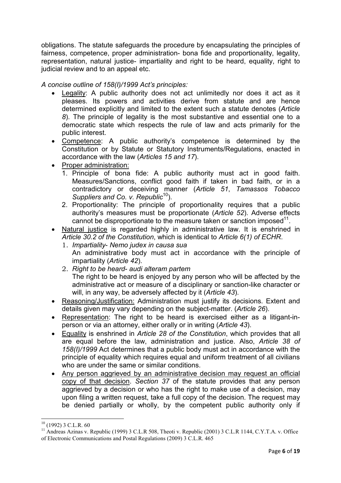obligations. The statute safeguards the procedure by encapsulating the principles of fairness, competence, proper administration- bona fide and proportionality, legality, representation, natural justice- impartiality and right to be heard, equality, right to judicial review and to an appeal etc.

### *A concise outline of 158(I)/1999 Act's principles:*

- Legality: A public authority does not act unlimitedly nor does it act as it pleases. Its powers and activities derive from statute and are hence determined explicitly and limited to the extent such a statute denotes (*Article 8*). The principle of legality is the most substantive and essential one to a democratic state which respects the rule of law and acts primarily for the public interest.
- Competence: A public authority's competence is determined by the Constitution or by Statute or Statutory Instruments/Regulations, enacted in accordance with the law (*Articles 15 and 17*).
- Proper administration:
	- 1. Principle of bona fide: A public authority must act in good faith. Measures/Sanctions, conflict good faith if taken in bad faith, or in a contradictory or deceiving manner (*Article 51*, *Tamassos Tobacco Suppliers and Co. v. Republic*<sup>10</sup>).
	- 2. Proportionality: The principle of proportionality requires that a public authority's measures must be proportionate (*Article 52*). Adverse effects  $\frac{1}{2}$  cannot be disproportionate to the measure taken or sanction imposed  $11$ .
- Natural justice is regarded highly in administrative law. It is enshrined in *Article 30.2 of the Constitution*, which is identical to *Article 6(1) of ECHR*.
	- 1. *Impartiality Nemo judex in causa sua*  An administrative body must act in accordance with the principle of impartiality (*Article 42*).
	- 2. *Right to be heard audi alteram partem*  The right to be heard is enjoyed by any person who will be affected by the administrative act or measure of a disciplinary or sanction-like character or will, in any way, be adversely affected by it (*Article 43*).
- Reasoning/Justification: Administration must justify its decisions. Extent and details given may vary depending on the subject-matter. (*Article 26*).
- Representation: The right to be heard is exercised either as a litigant-inperson or via an attorney, either orally or in writing (*Article 43*).
- Equality is enshrined in *Article 28 of the Constitution*, which provides that all are equal before the law, administration and justice. Also, *Article 38 of 158(I)/1999* Act determines that a public body must act in accordance with the principle of equality which requires equal and uniform treatment of all civilians who are under the same or similar conditions.
- Any person aggrieved by an administrative decision may request an official copy of that decision. *Section 37* of the statute provides that any person aggrieved by a decision or who has the right to make use of a decision, may upon filing a written request, take a full copy of the decision. The request may be denied partially or wholly, by the competent public authority only if

 $10$  (1992) 3 C.L.R. 60

<sup>11</sup> Andreas Azinas v. Republic (1999) 3 C.L.R 508, Theoti v. Republic (2001) 3 C.L.R 1144, C.Y.T.A. v. Office of Electronic Communications and Postal Regulations (2009) 3 C.L.R. 465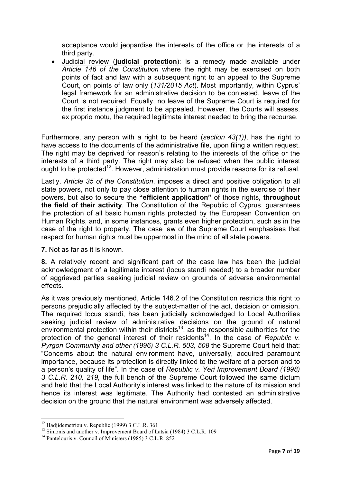acceptance would jeopardise the interests of the office or the interests of a third party.

• Judicial review (**judicial protection**): is a remedy made available under *Article 146 of the Constitution* where the right may be exercised on both points of fact and law with a subsequent right to an appeal to the Supreme Court, on points of law only (*131/2015 Act*). Most importantly, within Cyprus' legal framework for an administrative decision to be contested, leave of the Court is not required. Equally, no leave of the Supreme Court is required for the first instance judgment to be appealed. However, the Courts will assess, ex proprio motu, the required legitimate interest needed to bring the recourse.

Furthermore, any person with a right to be heard (*section 43(1))*, has the right to have access to the documents of the administrative file, upon filing a written request. The right may be deprived for reason's relating to the interests of the office or the interests of a third party. The right may also be refused when the public interest ought to be protected<sup>12</sup>. However, administration must provide reasons for its refusal.

Lastly, *Article 35 of the Constitution*, imposes a direct and positive obligation to all state powers, not only to pay close attention to human rights in the exercise of their powers, but also to secure the **"efficient application"** of those rights, **throughout the field of their activity**. The Constitution of the Republic of Cyprus, guarantees the protection of all basic human rights protected by the European Convention on Human Rights, and, in some instances, grants even higher protection, such as in the case of the right to property. The case law of the Supreme Court emphasises that respect for human rights must be uppermost in the mind of all state powers.

**7.** Not as far as it is known.

**8.** A relatively recent and significant part of the case law has been the judicial acknowledgment of a legitimate interest (locus standi needed) to a broader number of aggrieved parties seeking judicial review on grounds of adverse environmental effects.

As it was previously mentioned, Article 146.2 of the Constitution restricts this right to persons prejudicially affected by the subject-matter of the act, decision or omission. The required locus standi, has been judicially acknowledged to Local Authorities seeking judicial review of administrative decisions on the ground of natural environmental protection within their districts<sup>13</sup>, as the responsible authorities for the protection of the general interest of their residents<sup>14</sup>. In the case of *Republic v. Pyrgon Community and other (1996) 3 C.L.R. 503, 508* the Supreme Court held that: "Concerns about the natural environment have, universally, acquired paramount importance, because its protection is directly linked to the welfare of a person and to a person's quality of life". In the case of *Republic v. Yeri Improvement Board (1998) 3 C.L.R. 210, 219,* the full bench of the Supreme Court followed the same dictum and held that the Local Authority's interest was linked to the nature of its mission and hence its interest was legitimate. The Authority had contested an administrative decision on the ground that the natural environment was adversely affected.

 $12$  Hadjidemetriou v. Republic (1999) 3 C.L.R. 361

<sup>&</sup>lt;sup>13</sup> Simonis and another v. Improvement Board of Latsia (1984) 3 C.L.R. 109

<sup>&</sup>lt;sup>14</sup> Pantelouris v. Council of Ministers (1985) 3 C.L.R. 852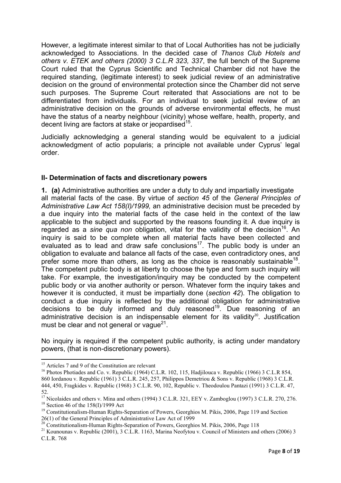However, a legitimate interest similar to that of Local Authorities has not be judicially acknowledged to Associations. In the decided case of *Thanos Club Hotels and others v. ETEK and others (2000) 3 C.L.R 323, 337*, the full bench of the Supreme Court ruled that the Cyprus Scientific and Technical Chamber did not have the required standing, (legitimate interest) to seek judicial review of an administrative decision on the ground of environmental protection since the Chamber did not serve such purposes. The Supreme Court reiterated that Associations are not to be differentiated from individuals. For an individual to seek judicial review of an administrative decision on the grounds of adverse environmental effects, he must have the status of a nearby neighbour (vicinity) whose welfare, health, property, and decent living are factors at stake or ieopardised  $15$ .

Judicially acknowledging a general standing would be equivalent to a judicial acknowledgment of actio popularis; a principle not available under Cyprus' legal order.

## **II- Determination of facts and discretionary powers**

**1. (a)** Administrative authorities are under a duty to duly and impartially investigate all material facts of the case. By virtue of *section 45* of the *General Principles of Administrative Law Act 158(I)/1999,* an administrative decision must be preceded by a due inquiry into the material facts of the case held in the context of the law applicable to the subject and supported by the reasons founding it. A due inquiry is regarded as a *sine qua non* obligation, vital for the validity of the decision<sup>16</sup>. An inquiry is said to be complete when all material facts have been collected and evaluated as to lead and draw safe conclusions<sup>17</sup>. The public body is under an obligation to evaluate and balance all facts of the case, even contradictory ones, and prefer some more than others, as long as the choice is reasonably sustainable<sup>18</sup>. The competent public body is at liberty to choose the type and form such inquiry will take. For example, the investigation/inquiry may be conducted by the competent public body or via another authority or person. Whatever form the inquiry takes and however it is conducted, it must be impartially done (*section 42*). The obligation to conduct a due inquiry is reflected by the additional obligation for administrative decisions to be duly informed and duly reasoned<sup>19</sup>. Due reasoning of an administrative decision is an indispensable element for its validity $20$ . Justification must be clear and not general or vaque<sup>21</sup>.

No inquiry is required if the competent public authority, is acting under mandatory powers, (that is non-discretionary powers).

<sup>&</sup>lt;sup>15</sup> Articles 7 and 9 of the Constitution are relevant

<sup>&</sup>lt;sup>16</sup> Photos Photiades and Co. v. Republic (1964) C.L.R. 102, 115, Hadjilouca v. Republic (1966) 3 C.L.R 854, 860 Iordanou v. Republic (1961) 3 C.L.R. 245, 257, Philippos Demetriou & Sons v. Republic (1968) 3 C.L.R. 444, 450, Fragkides v. Republic (1968) 3 C.L.R. 90, 102, Republic v. Theodoulou Pantazi (1991) 3 C.L.R. 47, 52.

<sup>&</sup>lt;sup>17</sup> Nicolaides and others v. Mina and others (1994) 3 C.L.R. 321, EEY v. Zamboglou (1997) 3 C.L.R. 270, 276.

 $18$  Section 46 of the 158(I)/1999 Act

<sup>&</sup>lt;sup>18</sup> Section 46 of the 158(I)/1999 Act<br><sup>19</sup> Constitutionalism-Human Rights-Separation of Powers, Georghios M. Pikis, 2006, Page 119 and Section 26(1) of the General Principles of Administrative Law Act of 1999

<sup>&</sup>lt;sup>20</sup> Constitutionalism-Human Rights-Separation of Powers, Georghios M. Pikis, 2006, Page 118

<sup>&</sup>lt;sup>21</sup> Kounounas v. Republic (2001), 3 C.L.R. 1163, Marina Neofytou v. Council of Ministers and others (2006) 3 C.L.R. 768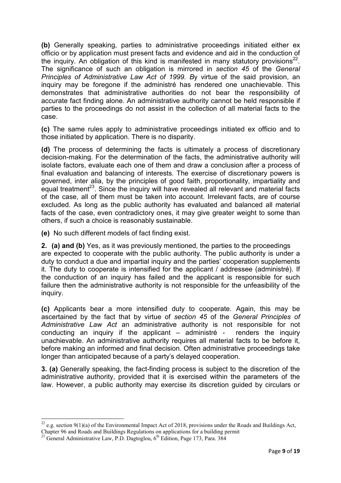**(b)** Generally speaking, parties to administrative proceedings initiated either ex officio or by application must present facts and evidence and aid in the conduction of the inquiry. An obligation of this kind is manifested in many statutory provisions<sup>22</sup>. The significance of such an obligation is mirrored in *section 45* of the *General Principles of Administrative Law Act of 1999. B*y virtue of the said provision, an inquiry may be foregone if the administré has rendered one unachievable. This demonstrates that administrative authorities do not bear the responsibility of accurate fact finding alone. An administrative authority cannot be held responsible if parties to the proceedings do not assist in the collection of all material facts to the case.

**(c)** The same rules apply to administrative proceedings initiated ex officio and to those initiated by application. There is no disparity.

**(d)** The process of determining the facts is ultimately a process of discretionary decision-making. For the determination of the facts, the administrative authority will isolate factors, evaluate each one of them and draw a conclusion after a process of final evaluation and balancing of interests. The exercise of discretionary powers is governed, inter alia, by the principles of good faith, proportionality, impartiality and equal treatment<sup>23</sup>. Since the inquiry will have revealed all relevant and material facts of the case, all of them must be taken into account. Irrelevant facts, are of course excluded. As long as the public authority has evaluated and balanced all material facts of the case, even contradictory ones, it may give greater weight to some than others, if such a choice is reasonably sustainable.

**(e)** No such different models of fact finding exist.

**2. (a) and (b)** Yes, as it was previously mentioned, the parties to the proceedings are expected to cooperate with the public authority. The public authority is under a duty to conduct a due and impartial inquiry and the parties' cooperation supplements it. The duty to cooperate is intensified for the applicant / addressee (administré). If the conduction of an inquiry has failed and the applicant is responsible for such failure then the administrative authority is not responsible for the unfeasibility of the inquiry.

**(c)** Applicants bear a more intensified duty to cooperate. Again, this may be ascertained by the fact that by virtue of *section 45* of the *General Principles of Administrative Law Act* an administrative authority is not responsible for not conducting an inquiry if the applicant – administré - renders the inquiry unachievable. An administrative authority requires all material facts to be before it, before making an informed and final decision. Often administrative proceedings take longer than anticipated because of a party's delayed cooperation.

**3. (a)** Generally speaking, the fact-finding process is subject to the discretion of the administrative authority, provided that it is exercised within the parameters of the law. However, a public authority may exercise its discretion guided by circulars or

<sup>&</sup>lt;sup>22</sup> e.g. section 9(1)(a) of the Environmental Impact Act of 2018, provisions under the Roads and Buildings Act, Chapter 96 and Roads and Buildings Regulations on applications for a building permit

<sup>&</sup>lt;sup>23</sup> General Administrative Law, P.D. Dagtoglou,  $6<sup>th</sup>$  Edition, Page 173, Para. 384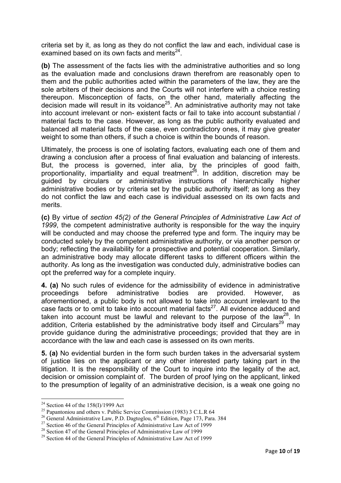criteria set by it, as long as they do not conflict the law and each, individual case is  $\alpha$  examined based on its own facts and merits  $24$ .

**(b)** The assessment of the facts lies with the administrative authorities and so long as the evaluation made and conclusions drawn therefrom are reasonably open to them and the public authorities acted within the parameters of the law, they are the sole arbiters of their decisions and the Courts will not interfere with a choice resting thereupon. Misconception of facts, on the other hand, materially affecting the decision made will result in its voidance<sup>25</sup>. An administrative authority may not take into account irrelevant or non- existent facts or fail to take into account substantial / material facts to the case. However, as long as the public authority evaluated and balanced all material facts of the case, even contradictory ones, it may give greater weight to some than others, if such a choice is within the bounds of reason.

Ultimately, the process is one of isolating factors, evaluating each one of them and drawing a conclusion after a process of final evaluation and balancing of interests. But, the process is governed, inter alia, by the principles of good faith, proportionality, impartiality and equal treatment<sup>26</sup>. In addition, discretion may be guided by circulars or administrative instructions of hierarchically higher administrative bodies or by criteria set by the public authority itself; as long as they do not conflict the law and each case is individual assessed on its own facts and merits.

**(c)** By virtue of *section 45(2) of the General Principles of Administrative Law Act of 1999*, the competent administrative authority is responsible for the way the inquiry will be conducted and may choose the preferred type and form. The inquiry may be conducted solely by the competent administrative authority, or via another person or body; reflecting the availability for a prospective and potential cooperation. Similarly, an administrative body may allocate different tasks to different officers within the authority. As long as the investigation was conducted duly, administrative bodies can opt the preferred way for a complete inquiry.

**4. (a)** No such rules of evidence for the admissibility of evidence in administrative proceedings before administrative bodies are provided. However, as aforementioned, a public body is not allowed to take into account irrelevant to the case facts or to omit to take into account material facts $27$ . All evidence adduced and taken into account must be lawful and relevant to the purpose of the law<sup>28</sup>. In addition, Criteria established by the administrative body itself and Circulars<sup>29</sup> may provide guidance during the administrative proceedings; provided that they are in accordance with the law and each case is assessed on its own merits.

**5. (a)** No evidential burden in the form such burden takes in the adversarial system of justice lies on the applicant or any other interested party taking part in the litigation. It is the responsibility of the Court to inquire into the legality of the act, decision or omission complaint of. The burden of proof lying on the applicant, linked to the presumption of legality of an administrative decision, is a weak one going no

<sup>&</sup>lt;sup>24</sup> Section 44 of the  $158(I)/1999$  Act

<sup>&</sup>lt;sup>25</sup> Papantoniou and others v. Public Service Commission (1983) 3 C.L.R 64

<sup>&</sup>lt;sup>26</sup> General Administrative Law, P.D. Dagtoglou,  $6<sup>th</sup>$  Edition, Page 173, Para. 384

<sup>&</sup>lt;sup>27</sup> Section 46 of the General Principles of Administrative Law Act of 1999

<sup>&</sup>lt;sup>28</sup> Section 47 of the General Principles of Administrative Law of 1999

<sup>&</sup>lt;sup>29</sup> Section 44 of the General Principles of Administrative Law Act of 1999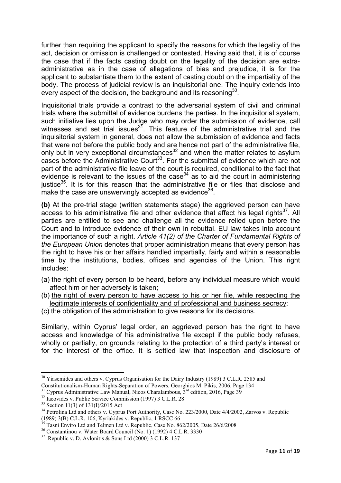further than requiring the applicant to specify the reasons for which the legality of the act, decision or omission is challenged or contested. Having said that, it is of course the case that if the facts casting doubt on the legality of the decision are extraadministrative as in the case of allegations of bias and prejudice, it is for the applicant to substantiate them to the extent of casting doubt on the impartiality of the body. The process of judicial review is an inquisitorial one. The inquiry extends into every aspect of the decision, the background and its reasoning  $30$ .

Inquisitorial trials provide a contrast to the adversarial system of civil and criminal trials where the submittal of evidence burdens the parties. In the inquisitorial system, such initiative lies upon the Judge who may order the submission of evidence, call witnesses and set trial issues $3^7$ . This feature of the administrative trial and the inquisitorial system in general, does not allow the submission of evidence and facts that were not before the public body and are hence not part of the administrative file, only but in very exceptional circumstances $32$  and when the matter relates to asylum cases before the Administrative Court<sup>33</sup>. For the submittal of evidence which are not part of the administrative file leave of the court is required, conditional to the fact that evidence is relevant to the issues of the case<sup>34</sup> as to aid the court in administering iustice $35$ . It is for this reason that the administrative file or files that disclose and make the case are unswervingly accepted as evidence  $36$ .

**(b)** At the pre-trial stage (written statements stage) the aggrieved person can have access to his administrative file and other evidence that affect his legal rights<sup>37</sup>. All parties are entitled to see and challenge all the evidence relied upon before the Court and to introduce evidence of their own in rebuttal. EU law takes into account the importance of such a right. *Article 41(2) of the Charter of Fundamental Rights of the European Union* denotes that proper administration means that every person has the right to have his or her affairs handled impartially, fairly and within a reasonable time by the institutions, bodies, offices and agencies of the Union. This right includes:

- (a) the right of every person to be heard, before any individual measure which would affect him or her adversely is taken;
- (b) the right of every person to have access to his or her file, while respecting the legitimate interests of confidentiality and of professional and business secrecy;

(c) the obligation of the administration to give reasons for its decisions.

Similarly, within Cyprus' legal order, an aggrieved person has the right to have access and knowledge of his administrative file except if the public body refuses, wholly or partially, on grounds relating to the protection of a third party's interest or for the interest of the office. It is settled law that inspection and disclosure of

<sup>&</sup>lt;sup>30</sup> Yiasemides and others v. Cyprus Organisation for the Dairy Industry (1989) 3 C.L.R. 2585 and Constitutionalism-Human Rights-Separation of Powers, Georghios M. Pikis, 2006, Page 134

 $31$  Cyprus Administrative Law Manual, Nicos Charalambous,  $3<sup>rd</sup>$  edition, 2016, Page 39

 $32$  Iacovides v. Public Service Commission (1997) 3 C.L.R. 28

<sup>33</sup> Section 11(3) of 131(I)/2015 Act

<sup>&</sup>lt;sup>34</sup> Petrolina Ltd and others v. Cyprus Port Authority, Case No. 223/2000, Date 4/4/2002, Zarvos v. Republic (1989) 3(B) C.L.R. 106, Kyriakides v. Republic, 1 RSCC 66

Tasni Enviro Ltd and Telmen Ltd v. Republic, Case No. 862/2005, Date 26/6/2008

<sup>36</sup> Constantinou v. Water Board Council (No. 1) (1992) 4 C.L.R. 3330

<sup>37</sup> Republic v. D. Avlonitis & Sons Ltd (2000) 3 C.L.R. 137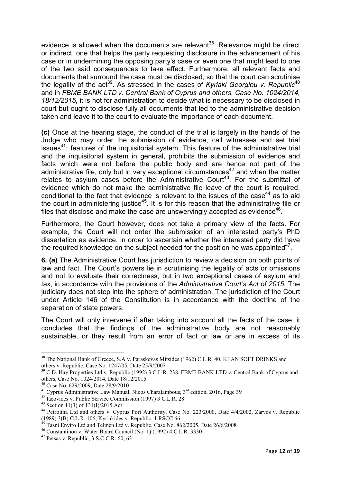evidence is allowed when the documents are relevant<sup>38</sup>. Relevance might be direct or indirect, one that helps the party requesting disclosure in the advancement of his case or in undermining the opposing party's case or even one that might lead to one of the two said consequences to take effect. Furthermore, all relevant facts and documents that surround the case must be disclosed, so that the court can scrutinise the legality of the act<sup>39</sup>. As stressed in the cases of *Kyriaki Georgiou v. Republic*<sup>40</sup> and in *FBME BANK LTD v. Central Bank of Cyprus and others, Case No. 1024/2014, 18/12/2015*, it is not for administration to decide what is necessary to be disclosed in court but ought to disclose fully all documents that led to the administrative decision taken and leave it to the court to evaluate the importance of each document.

**(c)** Once at the hearing stage, the conduct of the trial is largely in the hands of the Judge who may order the submission of evidence, call witnesses and set trial issues<sup>41</sup>; features of the inquisitorial system. This feature of the administrative trial and the inquisitorial system in general, prohibits the submission of evidence and facts which were not before the public body and are hence not part of the administrative file, only but in very exceptional circumstances<sup>42</sup> and when the matter relates to asylum cases before the Administrative Court<sup>43</sup>. For the submittal of evidence which do not make the administrative file leave of the court is required, conditional to the fact that evidence is relevant to the issues of the case<sup>44</sup> as to aid the court in administering justice<sup>45</sup>. It is for this reason that the administrative file or files that disclose and make the case are unswervingly accepted as evidence<sup>46</sup>.

Furthermore, the Court however, does not take a primary view of the facts. For example, the Court will not order the submission of an interested party's PhD dissertation as evidence, in order to ascertain whether the interested party did have the required knowledge on the subject needed for the position he was appointed<sup>47</sup>.

**6. (a)** The Administrative Court has jurisdiction to review a decision on both points of law and fact. Τhe Court's powers lie in scrutinising the legality of acts or omissions and not to evaluate their correctness, but in two exceptional cases of asylum and tax, in accordance with the provisions of the *Administrative Court's Act of 2015.* The judiciary does not step into the sphere of administration. The jurisdiction of the Court under Article 146 of the Constitution is in accordance with the doctrine of the separation of state powers.

The Court will only intervene if after taking into account all the facts of the case, it concludes that the findings of the administrative body are not reasonably sustainable, or they result from an error of fact or law or are in excess of its

<sup>&</sup>lt;sup>38</sup> The National Bank of Greece, S.A v. Paraskevas Mitsides (1962) C.L.R. 40, KEAN SOFT DRINKS and others v. Republic, Case No. 1247/05, Date 25/9/2007

<sup>&</sup>lt;sup>39</sup> C.D. Hay Properties Ltd v. Republic (1992) 3 C.L.R. 238, FBME BANK LTD ν. Central Bank of Cyprus and others, Case No. 1024/2014, Date 18/12/2015

<sup>40</sup> Case No. 629/2009, Date 28/9/2010

<sup>&</sup>lt;sup>41</sup> Cyprus Administrative Law Manual, Nicos Charalambous,  $3<sup>rd</sup>$  edition, 2016, Page 39

<sup>42</sup> Iacovides v. Public Service Commission (1997) 3 C.L.R. 28

<sup>43</sup> Section 11(3) of 131(I)/2015 Act

<sup>&</sup>lt;sup>44</sup> Petrolina Ltd and others v. Cyprus Port Authority, Case No. 223/2000, Date 4/4/2002, Zarvos ν. Republic (1989) 3(B) C.L.R. 106, Kyriakides v. Republic, 1 RSCC 66

Tasni Enviro Ltd and Telmen Ltd v. Republic, Case No. 862/2005, Date 26/6/2008

<sup>46</sup> Constantinou v. Water Board Council (No. 1) (1992) 4 C.L.R. 3330

<sup>47</sup> Petsas v. Republic, 3 S.C.C.R. 60, 63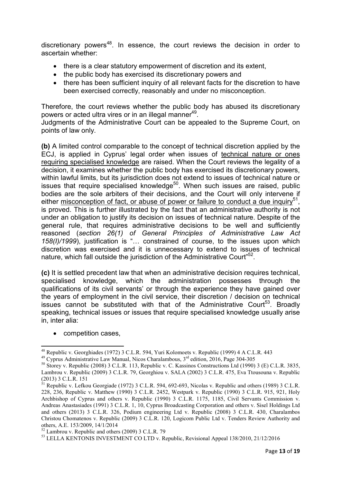discretionary powers<sup>48</sup>. In essence, the court reviews the decision in order to ascertain whether:

- there is a clear statutory empowerment of discretion and its extent,
- the public body has exercised its discretionary powers and
- there has been sufficient inquiry of all relevant facts for the discretion to have been exercised correctly, reasonably and under no misconception.

Therefore, the court reviews whether the public body has abused its discretionary powers or acted ultra vires or in an illegal manner<sup>49</sup>.

Judgments of the Administrative Court can be appealed to the Supreme Court, on points of law only.

**(b)** A limited control comparable to the concept of technical discretion applied by the ECJ, is applied in Cyprus' legal order when issues of technical nature or ones requiring specialised knowledge are raised. When the Court reviews the legality of a decision, it examines whether the public body has exercised its discretionary powers, within lawful limits, but its jurisdiction does not extend to issues of technical nature or issues that require specialised knowledge<sup>50</sup>. When such issues are raised, public bodies are the sole arbiters of their decisions, and the Court will only intervene if either misconception of fact, or abuse of power or failure to conduct a due inquiry<sup>51</sup>. is proved. This is further illustrated by the fact that an administrative authority is not under an obligation to justify its decision on issues of technical nature. Despite of the general rule, that requires administrative decisions to be well and sufficiently reasoned (*section 26(1) of General Principles of Administrative Law Act*  158(I)/1999), justification is "... constrained of course, to the issues upon which discretion was exercised and it is unnecessary to extend to issues of technical nature, which fall outside the jurisdiction of the Administrative Court"<sup>52</sup>.

**(c)** It is settled precedent law that when an administrative decision requires technical, specialised knowledge, which the administration possesses through the qualifications of its civil servants' or through the experience they have gained over the years of employment in the civil service, their discretion / decision on technical issues cannot be substituted with that of the Administrative Court<sup>53</sup>. Broadly speaking, technical issues or issues that require specialised knowledge usually arise in, inter alia:

#### • competition cases,

<sup>&</sup>lt;sup>48</sup> Republic v. Georghiades (1972) 3 C.L.R. 594, Yuri Kolomoets v. Republic (1999) 4 A C.L.R. 443

<sup>&</sup>lt;sup>49</sup> Cyprus Administrative Law Manual, Nicos Charalambous, 3<sup>rd</sup> edition, 2016, Page 304-305

<sup>50</sup> Storey v. Republic (2008) 3 C.L.R. 113, Republic v. C. Kassinos Constructions Ltd (1990) 3 (E) C.L.R. 3835, Lambrou v. Republic (2009) 3 C.L.R. 79, Georghiou v. SALA (2002) 3 C.L.R. 475, Eva Ttousouna v. Republic (2013) 3 C.L.R. 151

 $\frac{51}{2}$  Republic v. Lefkou Georgiade (1972) 3 C.L.R. 594, 692-693, Nicolas v. Republic and others (1989) 3 C.L.R. 228, 236, Republic v. Matthew (1990) 3 C.L.R. 2452, Westpark v. Republic (1990) 3 C.L.R. 915, 921, Holy Archbishop of Cyprus and others v. Republic (1990) 3 C.L.R. 1175, 1185, Civil Servants Commission v. Andreas Anastasiades (1991) 3 C.L.R. 1, 10, Cyprus Broadcasting Corporation and others v. Sisel Holdings Ltd and others (2013) 3 C.L.R. 326, Podium engineering Ltd v. Republic (2008) 3 C.L.R. 430, Charalambos Christou Chomatenos v. Republic (2009) 3 C.L.R. 120, Logicom Public Ltd v. Tenders Review Authority and others, A.E. 153/2009, 14/1/2014

 $52$  Lambrou v. Republic and others (2009) 3 C.L.R. 79

<sup>&</sup>lt;sup>53</sup> LELLA KENTONIS INVESTMENT CO LTD v. Republic, Revisional Appeal 138/2010, 21/12/2016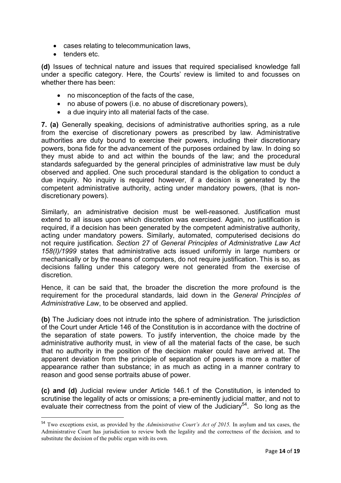- cases relating to telecommunication laws,
- tenders etc.

l

**(d)** Issues of technical nature and issues that required specialised knowledge fall under a specific category. Here, the Courts' review is limited to and focusses on whether there has been:

- no misconception of the facts of the case,
- no abuse of powers (i.e. no abuse of discretionary powers),
- a due inquiry into all material facts of the case.

**7. (a)** Generally speaking, decisions of administrative authorities spring, as a rule from the exercise of discretionary powers as prescribed by law. Administrative authorities are duty bound to exercise their powers, including their discretionary powers, bona fide for the advancement of the purposes ordained by law. In doing so they must abide to and act within the bounds of the law; and the procedural standards safeguarded by the general principles of administrative law must be duly observed and applied. One such procedural standard is the obligation to conduct a due inquiry. No inquiry is required however, if a decision is generated by the competent administrative authority, acting under mandatory powers, (that is nondiscretionary powers).

Similarly, an administrative decision must be well-reasoned. Justification must extend to all issues upon which discretion was exercised. Again, no justification is required, if a decision has been generated by the competent administrative authority, acting under mandatory powers. Similarly, automated, computerised decisions do not require justification. *Section 27* of *General Principles of Administrative Law Act 158(I)/1999* states that administrative acts issued uniformly in large numbers or mechanically or by the means of computers, do not require justification. This is so, as decisions falling under this category were not generated from the exercise of discretion.

Hence, it can be said that, the broader the discretion the more profound is the requirement for the procedural standards, laid down in the *General Principles of Administrative Law*, to be observed and applied.

**(b)** The Judiciary does not intrude into the sphere of administration. The jurisdiction of the Court under Article 146 of the Constitution is in accordance with the doctrine of the separation of state powers. To justify intervention, the choice made by the administrative authority must, in view of all the material facts of the case, be such that no authority in the position of the decision maker could have arrived at. The apparent deviation from the principle of separation of powers is more a matter of appearance rather than substance; in as much as acting in a manner contrary to reason and good sense portraits abuse of power.

**(c) and (d)** Judicial review under Article 146.1 of the Constitution, is intended to scrutinise the legality of acts or omissions; a pre-eminently judicial matter, and not to evaluate their correctness from the point of view of the Judiciary<sup>54</sup>. So long as the

<sup>54</sup> Two exceptions exist, as provided by the *Administrative Court's Act of 2015.* In asylum and tax cases, the Administrative Court has jurisdiction to review both the legality and the correctness of the decision*,* and to substitute the decision of the public organ with its own*.*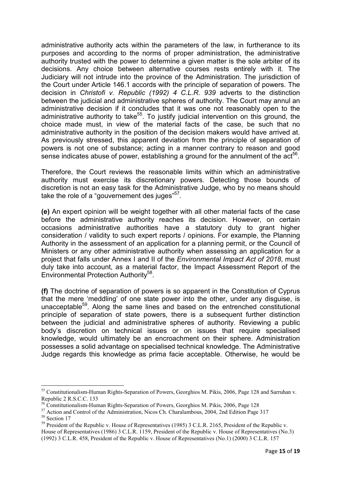administrative authority acts within the parameters of the law, in furtherance to its purposes and according to the norms of proper administration, the administrative authority trusted with the power to determine a given matter is the sole arbiter of its decisions. Any choice between alternative courses rests entirely with it. The Judiciary will not intrude into the province of the Administration. The jurisdiction of the Court under Article 146.1 accords with the principle of separation of powers. The decision in *Christofi v. Republic (1992) 4 C.L.R. 939* adverts to the distinction between the judicial and administrative spheres of authority. The Court may annul an administrative decision if it concludes that it was one not reasonably open to the administrative authority to take<sup>55</sup>. To justify judicial intervention on this ground, the choice made must, in view of the material facts of the case, be such that no administrative authority in the position of the decision makers would have arrived at. As previously stressed, this apparent deviation from the principle of separation of powers is not one of substance; acting in a manner contrary to reason and good sense indicates abuse of power, establishing a ground for the annulment of the  $\text{act}^{\text{56}}$ .

Therefore, the Court reviews the reasonable limits within which an administrative authority must exercise its discretionary powers. Detecting those bounds of discretion is not an easy task for the Administrative Judge, who by no means should take the role of a "gouvernement des juges"<sup>57</sup>.

**(e)** An expert opinion will be weight together with all other material facts of the case before the administrative authority reaches its decision. However, on certain occasions administrative authorities have a statutory duty to grant higher consideration / validity to such expert reports / opinions. For example, the Planning Authority in the assessment of an application for a planning permit, or the Council of Ministers or any other administrative authority when assessing an application for a project that falls under Annex I and II of the *Environmental Impact Act οf 2018*, must duly take into account, as a material factor, the Impact Assessment Report of the Environmental Protection Authority<sup>58</sup>.

**(f)** The doctrine of separation of powers is so apparent in the Constitution of Cyprus that the mere 'meddling' of one state power into the other, under any disguise, is unacceptable<sup>59</sup>. Along the same lines and based on the entrenched constitutional principle of separation of state powers, there is a subsequent further distinction between the judicial and administrative spheres of authority. Reviewing a public body's discretion on technical issues or on issues that require specialised knowledge, would ultimately be an encroachment on their sphere. Αdministration possesses a solid advantage on specialised technical knowledge. The Administrative Judge regards this knowledge as prima facie acceptable. Otherwise, he would be

<sup>55</sup> Constitutionalism-Human Rights-Separation of Powers, Georghios M. Pikis, 2006, Page 128 and Sarruhan v. Republic 2 R.S.C.C. 133

<sup>56</sup> Constitutionalism-Human Rights-Separation of Powers, Georghios M. Pikis, 2006, Page 128

<sup>&</sup>lt;sup>57</sup> Action and Control of the Administration, Nicos Ch. Charalambous, 2004, 2nd Edition Page 317 <sup>58</sup> Section 17

<sup>&</sup>lt;sup>59</sup> President of the Republic v. House of Representatives (1985) 3 C.L.R. 2165, President of the Republic v. House of Representatives (1986) 3 C.L.R. 1159, President of the Republic v. House of Representatives (No.3) (1992) 3 C.L.R. 458, President of the Republic v. House of Representatives (No.1) (2000) 3 C.L.R. 157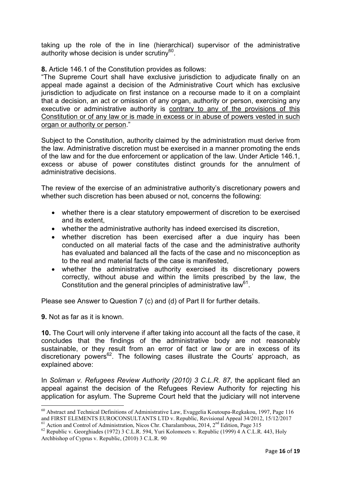taking up the role of the in line (hierarchical) supervisor of the administrative authority whose decision is under scrutiny<sup>60</sup>.

**8.** Article 146.1 of the Constitution provides as follows:

"The Supreme Court shall have exclusive jurisdiction to adjudicate finally on an appeal made against a decision of the Administrative Court which has exclusive jurisdiction to adjudicate on first instance on a recourse made to it on a complaint that a decision, an act or omission of any organ, authority or person, exercising any executive or administrative authority is contrary to any of the provisions of this Constitution or of any law or is made in excess or in abuse of powers vested in such organ or authority or person."

Subject to the Constitution, authority claimed by the administration must derive from the law. Administrative discretion must be exercised in a manner promoting the ends of the law and for the due enforcement or application of the law. Under Article 146.1, excess or abuse of power constitutes distinct grounds for the annulment of administrative decisions.

The review of the exercise of an administrative authority's discretionary powers and whether such discretion has been abused or not, concerns the following:

- whether there is a clear statutory empowerment of discretion to be exercised and its extent,
- whether the administrative authority has indeed exercised its discretion,
- whether discretion has been exercised after a due inquiry has been conducted on all material facts of the case and the administrative authority has evaluated and balanced all the facts of the case and no misconception as to the real and material facts of the case is manifested,
- whether the administrative authority exercised its discretionary powers correctly, without abuse and within the limits prescribed by the law, the Constitution and the general principles of administrative law  $61$ .

Please see Answer to Question 7 (c) and (d) of Part II for further details.

**9.** Not as far as it is known.

**10.** The Court will only intervene if after taking into account all the facts of the case, it concludes that the findings of the administrative body are not reasonably sustainable, or they result from an error of fact or law or are in excess of its discretionary powers<sup>62</sup>. The following cases illustrate the Courts' approach, as explained above:

In *Soliman v. Refugees Review Authority (2010) 3 C.L.R. 87, the applicant filed an* appeal against the decision of the Refugees Review Authority for rejecting his application for asylum. The Supreme Court held that the judiciary will not intervene l

<sup>60</sup> Abstract and Technical Definitions of Administrative Law, Evaggelia Koutoupa-Regkakou, 1997, Page 116 and FIRST ELEMENTS EUROCONSULTANTS LTD v. Republic, Revisional Appeal 34/2012, 15/12/2017 <sup>61</sup> Action and Control of Administration, Nicos Chr. Charalambous, 2014, 2<sup>nd</sup> Edition, Page 315

<sup>&</sup>lt;sup>62</sup> Republic v. Georghiades (1972) 3 C.L.R. 594, Yuri Kolomoets v. Republic (1999) 4 A C.L.R. 443, Holy Archbishop of Cyprus v. Republic, (2010) 3 C.L.R. 90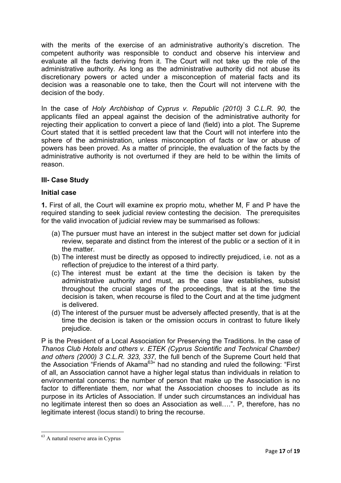with the merits of the exercise of an administrative authority's discretion. The competent authority was responsible to conduct and observe his interview and evaluate all the facts deriving from it. The Court will not take up the role of the administrative authority. As long as the administrative authority did not abuse its discretionary powers or acted under a misconception of material facts and its decision was a reasonable one to take, then the Court will not intervene with the decision of the body.

In the case of *Holy Archbishop of Cyprus v. Republic (2010) 3 C.L.R. 90,* the applicants filed an appeal against the decision of the administrative authority for rejecting their application to convert a piece of land (field) into a plot. The Supreme Court stated that it is settled precedent law that the Court will not interfere into the sphere of the administration, unless misconception of facts or law or abuse of powers has been proved. As a matter of principle, the evaluation of the facts by the administrative authority is not overturned if they are held to be within the limits of reason.

## **III- Case Study**

### **Initial case**

**1.** First of all, the Court will examine ex proprio motu, whether M, F and P have the required standing to seek judicial review contesting the decision. The prerequisites for the valid invocation of judicial review may be summarised as follows:

- (a) The pursuer must have an interest in the subject matter set down for judicial review, separate and distinct from the interest of the public or a section of it in the matter.
- (b) The interest must be directly as opposed to indirectly prejudiced, i.e. not as a reflection of prejudice to the interest of a third party.
- (c) The interest must be extant at the time the decision is taken by the administrative authority and must, as the case law establishes, subsist throughout the crucial stages of the proceedings, that is at the time the decision is taken, when recourse is filed to the Court and at the time judgment is delivered.
- (d) The interest of the pursuer must be adversely affected presently, that is at the time the decision is taken or the omission occurs in contrast to future likely prejudice.

P is the President of a Local Association for Preserving the Traditions. In the case of *Thanos Club Hotels and others v. ETEK (Cyprus Scientific and Technical Chamber) and others (2000) 3 C.L.R. 323, 337,* the full bench of the Supreme Court held that the Association "Friends of Akama $^{63}$ " had no standing and ruled the following: "First of all, an Association cannot have a higher legal status than individuals in relation to environmental concerns: the number of person that make up the Association is no factor to differentiate them, nor what the Association chooses to include as its purpose in its Articles of Association. If under such circumstances an individual has no legitimate interest then so does an Association as well....". P, therefore, has no legitimate interest (locus standi) to bring the recourse.

<sup>63</sup> A natural reserve area in Cyprus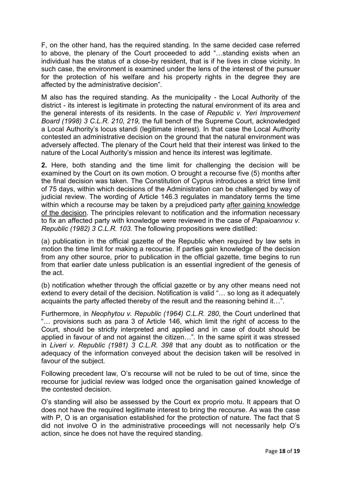F, on the other hand, has the required standing. In the same decided case referred to above, the plenary of the Court proceeded to add "...standing exists when an individual has the status of a close-by resident, that is if he lives in close vicinity. In such case, the environment is examined under the lens of the interest of the pursuer for the protection of his welfare and his property rights in the degree they are affected by the administrative decision".

M also has the required standing. As the municipality - the Local Authority of the district - its interest is legitimate in protecting the natural environment of its area and the general interests of its residents. In the case of *Republic v. Yeri Improvement Board (1998) 3 C.L.R. 210, 219,* the full bench of the Supreme Court, acknowledged a Local Authority's locus standi (legitimate interest). In that case the Local Authority contested an administrative decision on the ground that the natural environment was adversely affected. The plenary of the Court held that their interest was linked to the nature of the Local Authority's mission and hence its interest was legitimate.

**2.** Here, both standing and the time limit for challenging the decision will be examined by the Court on its own motion. O brought a recourse five (5) months after the final decision was taken. The Constitution of Cyprus introduces a strict time limit of 75 days, within which decisions of the Administration can be challenged by way of judicial review. The wording of Article 146.3 regulates in mandatory terms the time within which a recourse may be taken by a prejudiced party after gaining knowledge of the decision. The principles relevant to notification and the information necessary to fix an affected party with knowledge were reviewed in the case of *Papaioannou v. Republic (1982) 3 C.L.R. 103.* The following propositions were distilled:

(a) publication in the official gazette of the Republic when required by law sets in motion the time limit for making a recourse. If parties gain knowledge of the decision from any other source, prior to publication in the official gazette, time begins to run from that earlier date unless publication is an essential ingredient of the genesis of the act.

(b) notification whether through the official gazette or by any other means need not extend to every detail of the decision. Notification is valid "... so long as it adequately acquaints the party affected thereby of the result and the reasoning behind it...".

Furthermore, in *Neophytou v. Republic (1964) C.L.R. 280*, the Court underlined that "... provisions such as para 3 of Article 146, which limit the right of access to the Court, should be strictly interpreted and applied and in case of doubt should be applied in favour of and not against the citizen...". In the same spirit it was stressed in *Liveri v. Republic (1981) 3 C.L.R. 398* that any doubt as to notification or the adequacy of the information conveyed about the decision taken will be resolved in favour of the subject.

Following precedent law, O's recourse will not be ruled to be out of time, since the recourse for judicial review was lodged once the organisation gained knowledge of the contested decision.

O's standing will also be assessed by the Court ex proprio motu. It appears that O does not have the required legitimate interest to bring the recourse. As was the case with P, O is an organisation established for the protection of nature. The fact that S did not involve O in the administrative proceedings will not necessarily help O's action, since he does not have the required standing.